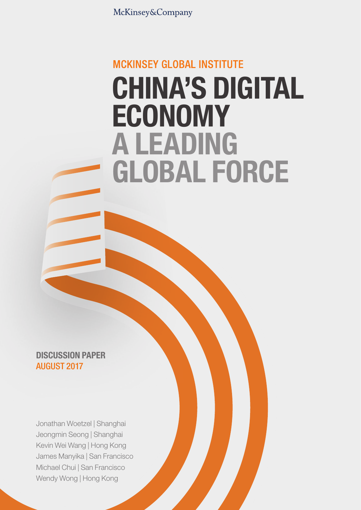McKinsey&Company

# **MCKINSEY GLOBAL INSTITUTE** CHINA'S DIGITAL ECONOMY A LEADING GLOBAL FORCE

DISCUSSION PAPER AUGUST 2017

Jonathan Woetzel | Shanghai Jeongmin Seong | Shanghai Kevin Wei Wang | Hong Kong James Manyika | San Francisco Michael Chui | San Francisco Wendy Wong | Hong Kong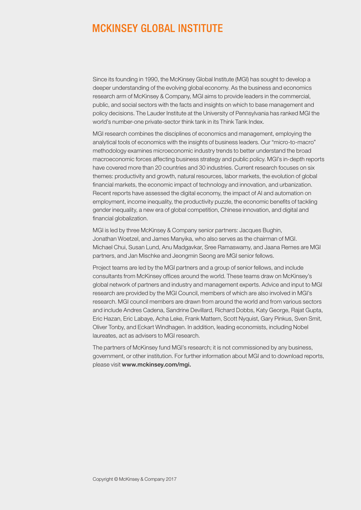### **MCKINSEY GLOBAL INSTITUTE**

Since its founding in 1990, the McKinsey Global Institute (MGI) has sought to develop a deeper understanding of the evolving global economy. As the business and economics research arm of McKinsey & Company, MGI aims to provide leaders in the commercial, public, and social sectors with the facts and insights on which to base management and policy decisions. The Lauder Institute at the University of Pennsylvania has ranked MGI the world's number-one private-sector think tank in its Think Tank Index.

MGI research combines the disciplines of economics and management, employing the analytical tools of economics with the insights of business leaders. Our "micro-to-macro" methodology examines microeconomic industry trends to better understand the broad macroeconomic forces affecting business strategy and public policy. MGI's in-depth reports have covered more than 20 countries and 30 industries. Current research focuses on six themes: productivity and growth, natural resources, labor markets, the evolution of global financial markets, the economic impact of technology and innovation, and urbanization. Recent reports have assessed the digital economy, the impact of AI and automation on employment, income inequality, the productivity puzzle, the economic benefits of tackling gender inequality, a new era of global competition, Chinese innovation, and digital and financial globalization.

MGI is led by three McKinsey & Company senior partners: Jacques Bughin, Jonathan Woetzel, and James Manyika, who also serves as the chairman of MGI. Michael Chui, Susan Lund, Anu Madgavkar, Sree Ramaswamy, and Jaana Remes are MGI partners, and Jan Mischke and Jeongmin Seong are MGI senior fellows.

Project teams are led by the MGI partners and a group of senior fellows, and include consultants from McKinsey offices around the world. These teams draw on McKinsey's global network of partners and industry and management experts. Advice and input to MGI research are provided by the MGI Council, members of which are also involved in MGI's research. MGI council members are drawn from around the world and from various sectors and include Andres Cadena, Sandrine Devillard, Richard Dobbs, Katy George, Rajat Gupta, Eric Hazan, Eric Labaye, Acha Leke, Frank Mattern, Scott Nyquist, Gary Pinkus, Sven Smit, Oliver Tonby, and Eckart Windhagen. In addition, leading economists, including Nobel laureates, act as advisers to MGI research.

The partners of McKinsey fund MGI's research; it is not commissioned by any business, government, or other institution. For further information about MGI and to download reports, please visit www.mckinsey.com/mgi.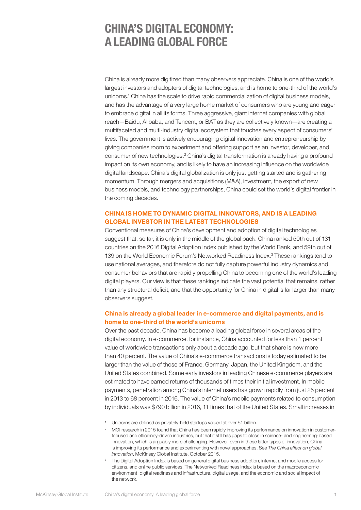## CHINA'S DIGITAL ECONOMY: A LEADING GLOBAL FORCE

China is already more digitized than many observers appreciate. China is one of the world's largest investors and adopters of digital technologies, and is home to one-third of the world's unicorns.1 China has the scale to drive rapid commercialization of digital business models, and has the advantage of a very large home market of consumers who are young and eager to embrace digital in all its forms. Three aggressive, giant internet companies with global reach—Baidu, Alibaba, and Tencent, or BAT as they are collectively known—are creating a multifaceted and multi-industry digital ecosystem that touches every aspect of consumers' lives. The government is actively encouraging digital innovation and entrepreneurship by giving companies room to experiment and offering support as an investor, developer, and consumer of new technologies.<sup>2</sup> China's digital transformation is already having a profound impact on its own economy, and is likely to have an increasing influence on the worldwide digital landscape. China's digital globalization is only just getting started and is gathering momentum. Through mergers and acquisitions (M&A), investment, the export of new business models, and technology partnerships, China could set the world's digital frontier in the coming decades.

#### CHINA IS HOME TO DYNAMIC DIGITAL INNOVATORS, AND IS A LEADING GLOBAL INVESTOR IN THE LATEST TECHNOLOGIES

Conventional measures of China's development and adoption of digital technologies suggest that, so far, it is only in the middle of the global pack. China ranked 50th out of 131 countries on the 2016 Digital Adoption Index published by the World Bank, and 59th out of 139 on the World Economic Forum's Networked Readiness Index.<sup>3</sup> These rankings tend to use national averages, and therefore do not fully capture powerful industry dynamics and consumer behaviors that are rapidly propelling China to becoming one of the world's leading digital players. Our view is that these rankings indicate the vast potential that remains, rather than any structural deficit, and that the opportunity for China in digital is far larger than many observers suggest.

#### China is already a global leader in e-commerce and digital payments, and is home to one-third of the world's unicorns

Over the past decade, China has become a leading global force in several areas of the digital economy. In e-commerce, for instance, China accounted for less than 1 percent value of worldwide transactions only about a decade ago, but that share is now more than 40 percent. The value of China's e-commerce transactions is today estimated to be larger than the value of those of France, Germany, Japan, the United Kingdom, and the United States combined. Some early investors in leading Chinese e-commerce players are estimated to have earned returns of thousands of times their initial investment. In mobile payments, penetration among China's internet users has grown rapidly from just 25 percent in 2013 to 68 percent in 2016. The value of China's mobile payments related to consumption by individuals was \$790 billion in 2016, 11 times that of the United States. Small increases in

<sup>&</sup>lt;sup>1</sup> Unicorns are defined as privately-held startups valued at over \$1 billion.

<sup>&</sup>lt;sup>2</sup> MGI research in 2015 found that China has been rapidly improving its performance on innovation in customerfocused and efficiency-driven industries, but that it still has gaps to close in science- and engineering-based innovation, which is arguably more challenging. However, even in these latter types of innovation, China is improving its performance and experimenting with novel approaches. See *The China effect on global innovation*, McKinsey Global Institute, October 2015.

<sup>&</sup>lt;sup>3</sup> The Digital Adoption Index is based on general digital business adoption, internet and mobile access for citizens, and online public services. The Networked Readiness Index is based on the macroeconomic environment, digital readiness and infrastructure, digital usage, and the economic and social impact of the network.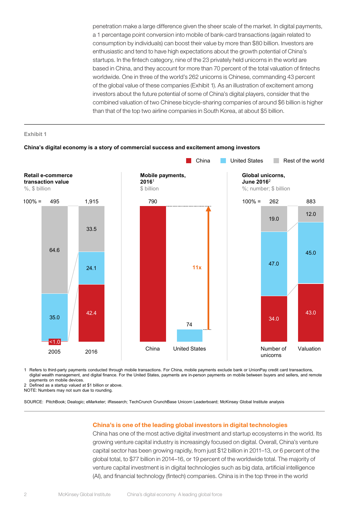penetration make a large difference given the sheer scale of the market. In digital payments, a 1 percentage point conversion into mobile of bank-card transactions (again related to consumption by individuals) can boost their value by more than \$80 billion. Investors are enthusiastic and tend to have high expectations about the growth potential of China's startups. In the fintech category, nine of the 23 privately held unicorns in the world are based in China, and they account for more than 70 percent of the total valuation of fintechs worldwide. One in three of the world's 262 unicorns is Chinese, commanding 43 percent of the global value of these companies (Exhibit 1). As an illustration of excitement among investors about the future potential of some of China's digital players, consider that the combined valuation of two Chinese bicycle-sharing companies of around \$6 billion is higher than that of the top two airline companies in South Korea, at about \$5 billion.

**Exhibit 1**



1 Refers to third-party payments conducted through mobile transactions. For China, mobile payments exclude bank or UnionPay credit card transactions, digital wealth management, and digital finance. For the United States, payments are in-person payments on mobile between buyers and sellers, and remote payments on mobile devices.

2 Defined as a startup valued at \$1 billion or above.

NOTE: Numbers may not sum due to rounding.

SOURCE: PitchBook; Dealogic; eMarketer; iResearch; TechCrunch CrunchBase Unicorn Leaderboard; McKinsey Global Institute analysis

#### China's is one of the leading global investors in digital technologies

China has one of the most active digital investment and startup ecosystems in the world. Its growing venture capital industry is increasingly focused on digital. Overall, China's venture capital sector has been growing rapidly, from just \$12 billion in 2011–13, or 6 percent of the global total, to \$77 billion in 2014–16, or 19 percent of the worldwide total. The majority of venture capital investment is in digital technologies such as big data, artificial intelligence (AI), and financial technology (fintech) companies. China is in the top three in the world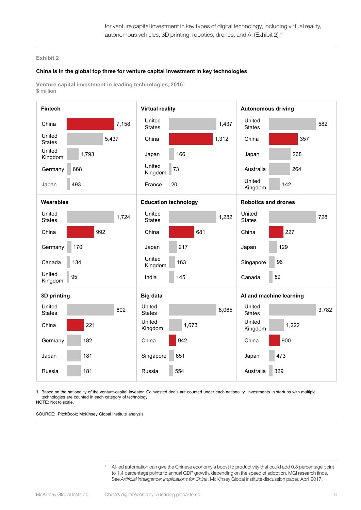#### **China is in the global top three for venture capital investment in key technologies**

**Venture capital investment in leading technologies, 2016**<sup>1</sup> \$ million



1 Based on the nationality of the venture-capital investor. Coinvested deals are counted under each nationality. Investments in startups with multiple technologies are counted in each category of technology. NOTE: Not to scale.

SOURCE: PitchBook; McKinsey Global Institute analysis

<sup>4</sup> AI-led automation can give the Chinese economy a boost to productivity that could add 0.8 percentage point to 1.4 percentage points to annual GDP growth, depending on the speed of adoption, MGI research finds. See *Artificial intelligence: Implications for China*, McKinsey Global Institute discussion paper, April 2017.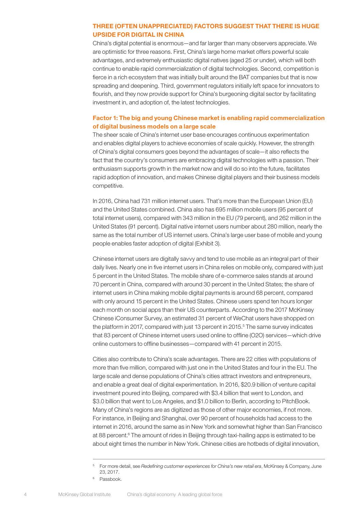#### THREE (OFTEN UNAPPRECIATED) FACTORS SUGGEST THAT THERE IS HUGE UPSIDE FOR DIGITAL IN CHINA

China's digital potential is enormous—and far larger than many observers appreciate. We are optimistic for three reasons. First, China's large home market offers powerful scale advantages, and extremely enthusiastic digital natives (aged 25 or under), which will both continue to enable rapid commercialization of digital technologies. Second, competition is fierce in a rich ecosystem that was initially built around the BAT companies but that is now spreading and deepening. Third, government regulators initially left space for innovators to flourish, and they now provide support for China's burgeoning digital sector by facilitating investment in, and adoption of, the latest technologies.

#### Factor 1: The big and young Chinese market is enabling rapid commercialization of digital business models on a large scale

The sheer scale of China's internet user base encourages continuous experimentation and enables digital players to achieve economies of scale quickly. However, the strength of China's digital consumers goes beyond the advantages of scale—it also reflects the fact that the country's consumers are embracing digital technologies with a passion. Their enthusiasm supports growth in the market now and will do so into the future, facilitates rapid adoption of innovation, and makes Chinese digital players and their business models competitive.

In 2016, China had 731 million internet users. That's more than the European Union (EU) and the United States combined. China also has 695 million mobile users (95 percent of total internet users), compared with 343 million in the EU (79 percent), and 262 million in the United States (91 percent). Digital native internet users number about 280 million, nearly the same as the total number of US internet users. China's large user base of mobile and young people enables faster adoption of digital (Exhibit 3).

Chinese internet users are digitally savvy and tend to use mobile as an integral part of their daily lives. Nearly one in five internet users in China relies on mobile only, compared with just 5 percent in the United States. The mobile share of e-commerce sales stands at around 70 percent in China, compared with around 30 percent in the United States; the share of internet users in China making mobile digital payments is around 68 percent, compared with only around 15 percent in the United States. Chinese users spend ten hours longer each month on social apps than their US counterparts. According to the 2017 McKinsey Chinese iConsumer Survey, an estimated 31 percent of WeChat users have shopped on the platform in 2017, compared with just 13 percent in 2015.<sup>5</sup> The same survey indicates that 83 percent of Chinese internet users used online to offline (O2O) services—which drive online customers to offline businesses—compared with 41 percent in 2015.

Cities also contribute to China's scale advantages. There are 22 cities with populations of more than five million, compared with just one in the United States and four in the EU. The large scale and dense populations of China's cities attract investors and entrepreneurs, and enable a great deal of digital experimentation. In 2016, \$20.9 billion of venture capital investment poured into Beijing, compared with \$3.4 billion that went to London, and \$3.0 billion that went to Los Angeles, and \$1.0 billion to Berlin, according to PitchBook. Many of China's regions are as digitized as those of other major economies, if not more. For instance, in Beijing and Shanghai, over 90 percent of households had access to the internet in 2016, around the same as in New York and somewhat higher than San Francisco at 88 percent.<sup>6</sup> The amount of rides in Beijing through taxi-hailing apps is estimated to be about eight times the number in New York. Chinese cities are hotbeds of digital innovation,

<sup>5</sup> For more detail, see *Redefining customer experiences for China's new retail era*, McKinsey & Company, June 23, 2017.

<sup>&</sup>lt;sup>6</sup> Passbook.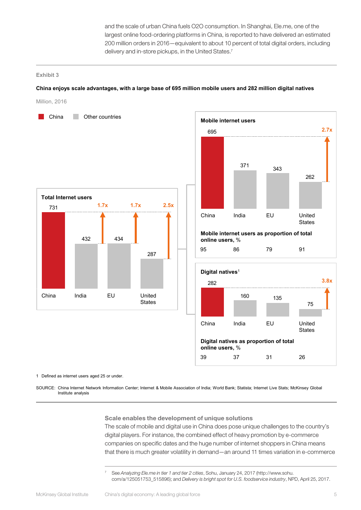and the scale of urban China fuels O2O consumption. In Shanghai, Ele.me, one of the largest online food-ordering platforms in China, is reported to have delivered an estimated 200 million orders in 2016—equivalent to about 10 percent of total digital orders, including delivery and in-store pickups, in the United States.<sup>7</sup>

#### **Exhibit 3**

#### **China enjoys scale advantages, with a large base of 695 million mobile users and 282 million digital natives**

Million, 2016





1 Defined as internet users aged 25 or under.

SOURCE: China Internet Network Information Center; Internet & Mobile Association of India; World Bank; Statista; Internet Live Stats; McKinsey Global Institute analysis

#### Scale enables the development of unique solutions

The scale of mobile and digital use in China does pose unique challenges to the country's digital players. For instance, the combined effect of heavy promotion by e-commerce companies on specific dates and the huge number of internet shoppers in China means that there is much greater volatility in demand—an around 11 times variation in e-commerce

<sup>7</sup> See *Analyzing Ele.me in tier 1 and tier 2 cities*, Sohu, January 24, 2017 ([http://www.sohu.](http://www.sohu.com/a/125051753_515896) [com/a/125051753\\_515896\)](http://www.sohu.com/a/125051753_515896); and *Delivery is bright spot for U.S. foodservice industry*, NPD, April 25, 2017.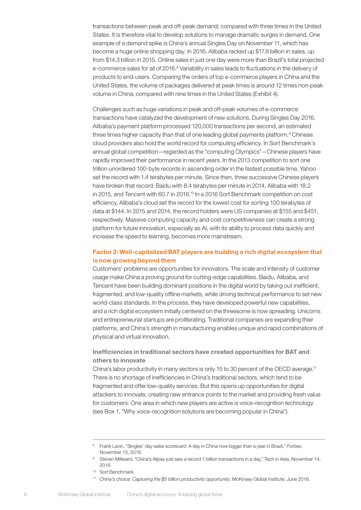transactions between peak and off-peak demand, compared with three times in the United States. It is therefore vital to develop solutions to manage dramatic surges in demand. One example of a demand spike is China's annual Singles Day on November 11, which has become a huge online shopping day. In 2016, Alibaba racked up \$17.8 billion in sales, up from \$14.3 billion in 2015. Online sales in just one day were more than Brazil's total projected e-commerce sales for all of 2016.<sup>8</sup> Variability in sales leads to fluctuations in the delivery of products to end-users. Comparing the orders of top e-commerce players in China and the United States, the volume of packages delivered at peak times is around 12 times non-peak volume in China, compared with nine times in the United States (Exhibit 4).

Challenges such as huge variations in peak and off-peak volumes of e-commerce transactions have catalyzed the development of new solutions. During Singles Day 2016, Alibaba's payment platform processed 120,000 transactions per second, an estimated three times higher capacity than that of one leading global payments platform.<sup>9</sup> Chinese cloud providers also hold the world record for computing efficiency. In Sort Benchmark's annual global competition—regarded as the "computing Olympics"—Chinese players have rapidly improved their performance in recent years. In the 2013 competition to sort one trillion unordered 100-byte records in ascending order in the fastest possible time, Yahoo set the record with 1.4 terabytes per minute. Since then, three successive Chinese players have broken that record: Baidu with 8.4 terabytes per minute in 2014, Alibaba with 18.2 in 2015, and Tencent with 60.7 in 2016.<sup>10</sup> In a 2016 Sort Benchmark competition on cost efficiency, Alibaba's cloud set the record for the lowest cost for sorting 100 terabytes of data at \$144. In 2015 and 2014, the record holders were US companies at \$155 and \$451, respectively. Massive computing capacity and cost competitiveness can create a strong platform for future innovation, especially as AI, with its ability to process data quickly and increase the speed to learning, becomes more mainstream.

#### Factor 2: Well-capitalized BAT players are building a rich digital ecosystem that is now growing beyond them

Customers' problems are opportunities for innovators. The scale and intensity of customer usage make China a proving ground for cutting-edge capabilities. Baidu, Alibaba, and Tencent have been building dominant positions in the digital world by taking out inefficient, fragmented, and low-quality offline markets, while driving technical performance to set new world-class standards. In the process, they have developed powerful new capabilities, and a rich digital ecosystem initially centered on the threesome is now spreading. Unicorns and entrepreneurial startups are proliferating. Traditional companies are expanding their platforms, and China's strength in manufacturing enables unique and rapid combinations of physical and virtual innovation.

#### Inefficiencies in traditional sectors have created opportunities for BAT and others to innovate

China's labor productivity in many sectors is only 15 to 30 percent of the OECD average.11 There is no shortage of inefficiencies in China's traditional sectors, which tend to be fragmented and offer low-quality services. But this opens up opportunities for digital attackers to innovate, creating new entrance points to the market and providing fresh value for customers. One area in which new players are active is voice-recognition technology (see Box 1, "Why voice-recognition solutions are becoming popular in China").

<sup>8</sup> Frank Lavin, "Singles' day sales scorecard: A day in China now bigger than a year in Brazil," *Forbes*, November 15, 2016.

<sup>9</sup> Steven Millward, "China's Alipay just saw a record 1 billion transactions in a day," Tech in Asia, November 14, 2016.

<sup>10</sup> Sort Benchmark.

<sup>11</sup> *China's choice: Capturing the \$5 trillion productivity opportunity*, McKinsey Global Institute, June 2016.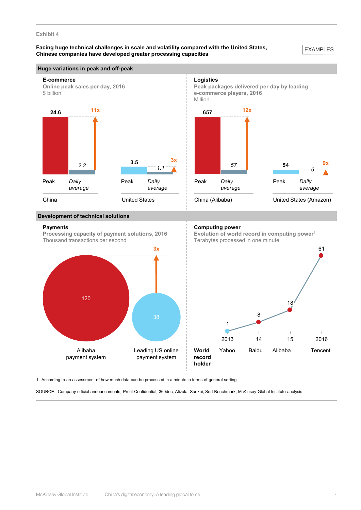#### **Facing huge technical challenges in scale and volatility compared with the United States, Chinese companies have developed greater processing capacities**

#### EXAMPLES

#### **Huge variations in peak and off-peak**



#### **Development of technical solutions**

#### **Payments**

**Processing capacity of payment solutions, 2016** Thousand transactions per second

#### **Computing power**

**Evolution of world record in computing power**<sup>1</sup> Terabytes processed in one minute



1 According to an assessment of how much data can be processed in a minute in terms of general sorting.

SOURCE: Company official announcements; Profit Confidential; 360doc; Alizala; Sankei; Sort Benchmark; McKinsey Global Institute analysis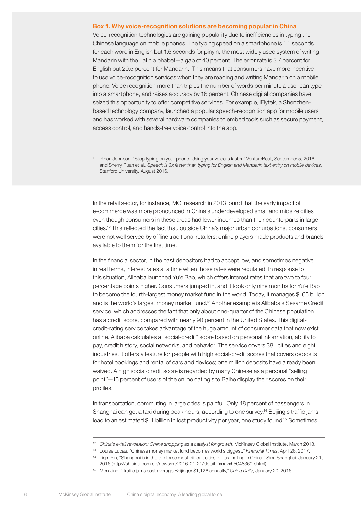#### Box 1. Why voice-recognition solutions are becoming popular in China

Voice-recognition technologies are gaining popularity due to inefficiencies in typing the Chinese language on mobile phones. The typing speed on a smartphone is 1.1 seconds for each word in English but 1.6 seconds for pinyin, the most widely used system of writing Mandarin with the Latin alphabet—a gap of 40 percent. The error rate is 3.7 percent for English but 20.5 percent for Mandarin.<sup>1</sup> This means that consumers have more incentive to use voice-recognition services when they are reading and writing Mandarin on a mobile phone. Voice recognition more than triples the number of words per minute a user can type into a smartphone, and raises accuracy by 16 percent. Chinese digital companies have seized this opportunity to offer competitive services. For example, iFlytek, a Shenzhenbased technology company, launched a popular speech-recognition app for mobile users and has worked with several hardware companies to embed tools such as secure payment, access control, and hands-free voice control into the app.

1 Khari Johnson, "Stop typing on your phone. Using your voice is faster," VentureBeat, September 5, 2016; and Sherry Ruan et al., *Speech is 3x faster than typing for English and Mandarin text entry on mobile devices*, Stanford University, August 2016.

In the retail sector, for instance, MGI research in 2013 found that the early impact of e-commerce was more pronounced in China's underdeveloped small and midsize cities even though consumers in these areas had lower incomes than their counterparts in large cities.12 This reflected the fact that, outside China's major urban conurbations, consumers were not well served by offline traditional retailers; online players made products and brands available to them for the first time.

In the financial sector, in the past depositors had to accept low, and sometimes negative in real terms, interest rates at a time when those rates were regulated. In response to this situation, Alibaba launched Yu'e Bao, which offers interest rates that are two to four percentage points higher. Consumers jumped in, and it took only nine months for Yu'e Bao to become the fourth-largest money market fund in the world. Today, it manages \$165 billion and is the world's largest money market fund.13 Another example is Alibaba's Sesame Credit service, which addresses the fact that only about one-quarter of the Chinese population has a credit score, compared with nearly 90 percent in the United States. This digitalcredit-rating service takes advantage of the huge amount of consumer data that now exist online. Alibaba calculates a "social-credit" score based on personal information, ability to pay, credit history, social networks, and behavior. The service covers 381 cities and eight industries. It offers a feature for people with high social-credit scores that covers deposits for hotel bookings and rental of cars and devices; one million deposits have already been waived. A high social-credit score is regarded by many Chinese as a personal "selling point"—15 percent of users of the online dating site Baihe display their scores on their profiles.

In transportation, commuting in large cities is painful. Only 48 percent of passengers in Shanghai can get a taxi during peak hours, according to one survey.<sup>14</sup> Beijing's traffic jams lead to an estimated \$11 billion in lost productivity per year, one study found.<sup>15</sup> Sometimes

<sup>&</sup>lt;sup>12</sup> *China's e-tail revolution: Online shopping as a catalyst for growth*, McKinsey Global Institute, March 2013.

<sup>13</sup> Louise Lucas, "Chinese money market fund becomes world's biggest," *Financial Times*, April 26, 2017.

<sup>&</sup>lt;sup>14</sup> Liqin Yin, "Shanghai is in the top three most difficult cities for taxi hailing in China," Sina Shanghai, January 21, 2016 (http://sh.sina.com.cn/news/m/2016-01-21/detail-ifxnuvxh5048360.shtml).

<sup>15</sup> Men Jing, "Traffic jams cost average Beijinger \$1,126 annually," *China Daily*, January 20, 2016.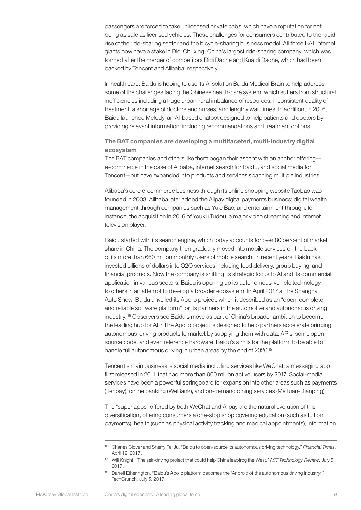passengers are forced to take unlicensed private cabs, which have a reputation for not being as safe as licensed vehicles. These challenges for consumers contributed to the rapid rise of the ride-sharing sector and the bicycle-sharing business model. All three BAT internet giants now have a stake in Didi Chuxing, China's largest ride-sharing company, which was formed after the merger of competitors Didi Dache and Kuaidi Dache, which had been backed by Tencent and Alibaba, respectively.

In health care, Baidu is hoping to use its AI solution Baidu Medical Brain to help address some of the challenges facing the Chinese health-care system, which suffers from structural inefficiencies including a huge urban-rural imbalance of resources, inconsistent quality of treatment, a shortage of doctors and nurses, and lengthy wait times. In addition, in 2016, Baidu launched Melody, an AI-based chatbot designed to help patients and doctors by providing relevant information, including recommendations and treatment options.

The BAT companies are developing a multifaceted, multi-industry digital ecosystem

The BAT companies and others like them began their ascent with an anchor offering e-commerce in the case of Alibaba, internet search for Baidu, and social media for Tencent—but have expanded into products and services spanning multiple industries.

Alibaba's core e-commerce business through its online shopping website Taobao was founded in 2003. Alibaba later added the Alipay digital payments business; digital wealth management through companies such as Yu'e Bao; and entertainment through, for instance, the acquisition in 2016 of Youku Tudou, a major video streaming and internet television player.

Baidu started with its search engine, which today accounts for over 80 percent of market share in China. The company then gradually moved into mobile services on the back of its more than 660 million monthly users of mobile search. In recent years, Baidu has invested billions of dollars into O2O services including food delivery, group buying, and financial products. Now the company is shifting its strategic focus to AI and its commercial application in various sectors. Baidu is opening up its autonomous-vehicle technology to others in an attempt to develop a broader ecosystem. In April 2017 at the Shanghai Auto Show, Baidu unveiled its Apollo project, which it described as an "open, complete and reliable software platform" for its partners in the automotive and autonomous driving industry. 16 Observers see Baidu's move as part of China's broader ambition to become the leading hub for AI.<sup>17</sup> The Apollo project is designed to help partners accelerate bringing autonomous-driving products to market by supplying them with data, APIs, some opensource code, and even reference hardware. Baidu's aim is for the platform to be able to handle full autonomous driving in urban areas by the end of 2020.<sup>18</sup>

Tencent's main business is social media including services like WeChat, a messaging app first released in 2011 that had more than 900 million active users by 2017. Social-media services have been a powerful springboard for expansion into other areas such as payments (Tenpay), online banking (WeBank), and on-demand dining services (Meituan-Dianping).

The "super apps" offered by both WeChat and Alipay are the natural evolution of this diversification, offering consumers a one-stop shop covering education (such as tuition payments), health (such as physical activity tracking and medical appointments), information

<sup>16</sup> Charles Clover and Sherry Fei Ju, "Baidu to open-source its autonomous driving technology," *Financial Times*, April 19, 2017.

<sup>17</sup> Will Knight, "The self-driving project that could help China leapfrog the West," *MIT Technology Review*, July 5, 2017.

<sup>18</sup> Darrell Etherington, "Baidu's Apollo platform becomes the 'Android of the autonomous driving industry,'" TechCrunch, July 5, 2017.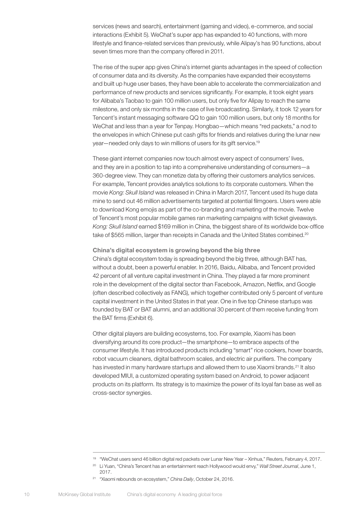services (news and search), entertainment (gaming and video), e-commerce, and social interactions (Exhibit 5). WeChat's super app has expanded to 40 functions, with more lifestyle and finance-related services than previously, while Alipay's has 90 functions, about seven times more than the company offered in 2011.

The rise of the super app gives China's internet giants advantages in the speed of collection of consumer data and its diversity. As the companies have expanded their ecosystems and built up huge user bases, they have been able to accelerate the commercialization and performance of new products and services significantly. For example, it took eight years for Alibaba's Taobao to gain 100 million users, but only five for Alipay to reach the same milestone, and only six months in the case of live broadcasting. Similarly, it took 12 years for Tencent's instant messaging software QQ to gain 100 million users, but only 18 months for WeChat and less than a year for Tenpay. Hongbao—which means "red packets," a nod to the envelopes in which Chinese put cash gifts for friends and relatives during the lunar new year—needed only days to win millions of users for its gift service.19

These giant internet companies now touch almost every aspect of consumers' lives, and they are in a position to tap into a comprehensive understanding of consumers—a 360-degree view. They can monetize data by offering their customers analytics services. For example, Tencent provides analytics solutions to its corporate customers. When the movie *Kong: Skull Island* was released in China in March 2017, Tencent used its huge data mine to send out 46 million advertisements targeted at potential filmgoers. Users were able to download Kong emojis as part of the co-branding and marketing of the movie. Twelve of Tencent's most popular mobile games ran marketing campaigns with ticket giveaways. *Kong: Skull Island* earned \$169 million in China, the biggest share of its worldwide box-office take of \$565 million, larger than receipts in Canada and the United States combined.<sup>20</sup>

#### China's digital ecosystem is growing beyond the big three China's digital ecosystem today is spreading beyond the big three, although BAT has, without a doubt, been a powerful enabler. In 2016, Baidu, Alibaba, and Tencent provided 42 percent of all venture capital investment in China. They played a far more prominent role in the development of the digital sector than Facebook, Amazon, Netflix, and Google (often described collectively as FANG), which together contributed only 5 percent of venture capital investment in the United States in that year. One in five top Chinese startups was founded by BAT or BAT alumni, and an additional 30 percent of them receive funding from the BAT firms (Exhibit 6).

Other digital players are building ecosystems, too. For example, Xiaomi has been diversifying around its core product—the smartphone—to embrace aspects of the consumer lifestyle. It has introduced products including "smart" rice cookers, hover boards, robot vacuum cleaners, digital bathroom scales, and electric air purifiers. The company has invested in many hardware startups and allowed them to use Xiaomi brands.<sup>21</sup> It also developed MIUI, a customized operating system based on Android, to power adjacent products on its platform. Its strategy is to maximize the power of its loyal fan base as well as cross-sector synergies.

<sup>19</sup> "WeChat users send 46 billion digital red packets over Lunar New Year – Xinhua," Reuters, February 4, 2017.

<sup>20</sup> Li Yuan, "China's Tencent has an entertainment reach Hollywood would envy," *Wall Street Journal*, June 1, 2017.

<sup>21</sup> "Xiaomi rebounds on ecosystem," *China Daily*, October 24, 2016.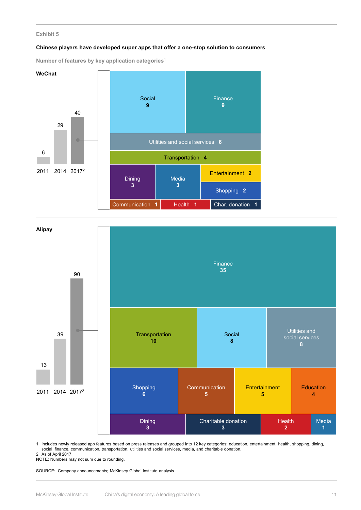#### **Chinese players have developed super apps that offer a one-stop solution to consumers**

**Number of features by key application categories**<sup>1</sup>





1 Includes newly released app features based on press releases and grouped into 12 key categories: education, entertainment, health, shopping, dining, social, finance, communication, transportation, utilities and social services, media, and charitable donation.

2 As of April 2017.

NOTE: Numbers may not sum due to rounding.

SOURCE: Company announcements; McKinsey Global Institute analysis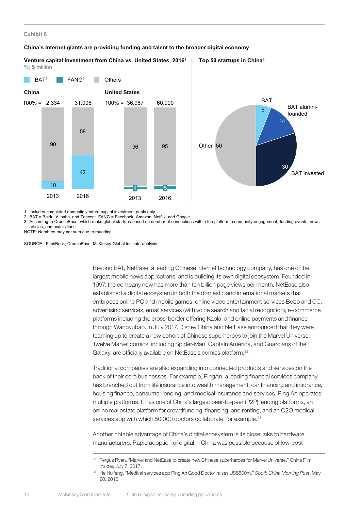#### **China's Internet giants are providing funding and talent to the broader digital economy**

**Top 50 startups in China**<sup>3</sup> **Venture capital investment from China vs. United States, 2016**<sup>1</sup> %; \$ million





1 Includes completed domestic venture capital investment deals only.

2 BAT = Baidu, Alibaba, and Tencent. FANG = Facebook, Amazon, Netflix, and Google.

3 According to CrunchBase, which ranks global startups based on number of connections within the platform, community engagement, funding events, news articles, and acquisitions.

NOTE: Numbers may not sum due to rounding.

SOURCE: PitchBook; CrunchBase; McKinsey Global Institute analysis

Beyond BAT, NetEase, a leading Chinese internet technology company, has one of the largest mobile news applications, and is building its own digital ecosystem. Founded in 1997, the company now has more than ten billion page views per month. NetEase also established a digital ecosystem in both the domestic and international markets that embraces online PC and mobile games, online video entertainment services Bobo and CC, advertising services, email services (with voice search and facial recognition), e-commerce platforms including the cross-border offering Kaola, and online payments and finance through Wangyubao. In July 2017, Disney China and NetEase announced that they were teaming up to create a new cohort of Chinese superheroes to join the Marvel Universe. Twelve Marvel comics, including Spider-Man, Captain America, and Guardians of the Galaxy, are officially available on NetEase's comics platform.<sup>22</sup>

Traditional companies are also expanding into connected products and services on the back of their core businesses. For example, PingAn, a leading financial services company, has branched out from life insurance into wealth management, car financing and insurance, housing finance, consumer lending, and medical insurance and services. Ping An operates multiple platforms. It has one of China's largest peer-to-peer (P2P) lending platforms, an online real estate platform for crowdfunding, financing, and renting, and an O2O medical services app with which 50,000 doctors collaborate, for example.<sup>23</sup>

Another notable advantage of China's digital ecosystem is its close links to hardware manufacturers. Rapid adoption of digital in China was possible because of low-cost

<sup>&</sup>lt;sup>22</sup> Fergus Ryan, "Marvel and NetEase to create new Chinese superheroes for Marvel Universe," China Film Insider, July 7, 2017.

<sup>23</sup> He Huifeng, "Medical services app Ping An Good Doctor raises US\$500m," *South China Morning Post*, May 20, 2016.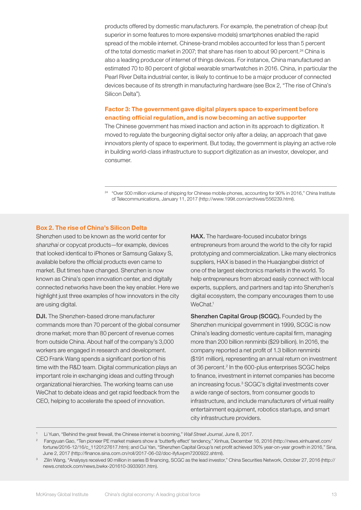products offered by domestic manufacturers. For example, the penetration of cheap (but superior in some features to more expensive models) smartphones enabled the rapid spread of the mobile internet. Chinese-brand mobiles accounted for less than 5 percent of the total domestic market in 2007; that share has risen to about 90 percent.<sup>24</sup> China is also a leading producer of internet of things devices. For instance, China manufactured an estimated 70 to 80 percent of global wearable smartwatches in 2016. China, in particular the Pearl River Delta industrial center, is likely to continue to be a major producer of connected devices because of its strength in manufacturing hardware (see Box 2, "The rise of China's Silicon Delta").

#### Factor 3: The government gave digital players space to experiment before enacting official regulation, and is now becoming an active supporter

The Chinese government has mixed inaction and action in its approach to digitization. It moved to regulate the burgeoning digital sector only after a delay, an approach that gave innovators plenty of space to experiment. But today, the government is playing an active role in building world-class infrastructure to support digitization as an investor, developer, and consumer.

<sup>24</sup> "Over 500 million volume of shipping for Chinese mobile phones, accounting for 90% in 2016," China Institute of Telecommunications, January 11, 2017 (http://www.199it.com/archives/556239.html).

#### Box 2. The rise of China's Silicon Delta

Shenzhen used to be known as the world center for *shanzhai* or copycat products—for example, devices that looked identical to iPhones or Samsung Galaxy S, available before the official products even came to market. But times have changed. Shenzhen is now known as China's open innovation center, and digitally connected networks have been the key enabler. Here we highlight just three examples of how innovators in the city are using digital.

DJI. The Shenzhen-based drone manufacturer commands more than 70 percent of the global consumer drone market; more than 80 percent of revenue comes from outside China. About half of the company's 3,000 workers are engaged in research and development. CEO Frank Wang spends a significant portion of his time with the R&D team. Digital communication plays an important role in exchanging ideas and cutting through organizational hierarchies. The working teams can use WeChat to debate ideas and get rapid feedback from the CEO, helping to accelerate the speed of innovation.

HAX. The hardware-focused incubator brings entrepreneurs from around the world to the city for rapid prototyping and commercialization. Like many electronics suppliers, HAX is based in the Huaqiangbei district of one of the largest electronics markets in the world. To help entrepreneurs from abroad easily connect with local experts, suppliers, and partners and tap into Shenzhen's digital ecosystem, the company encourages them to use WeChat.<sup>1</sup>

Shenzhen Capital Group (SCGC). Founded by the Shenzhen municipal government in 1999, SCGC is now China's leading domestic venture capital firm, managing more than 200 billion renminbi (\$29 billion). In 2016, the company reported a net profit of 1.3 billion renminbi (\$191 million), representing an annual return on investment of 36 percent.<sup>2</sup> In the 600-plus enterprises SCGC helps to finance, investment in internet companies has become an increasing focus.<sup>3</sup> SCGC's digital investments cover a wide range of sectors, from consumer goods to infrastructure, and include manufacturers of virtual reality entertainment equipment, robotics startups, and smart city infrastructure providers.

<sup>1</sup> Li Yuan, "Behind the great firewall, the Chinese internet is booming," *Wall Street Journal*, June 8, 2017.

<sup>&</sup>lt;sup>2</sup> Fangyuan Gao, "Ten pioneer PE market makers show a 'butterfly effect' tendency," Xinhua, December 16, 2016 ([http://news.xinhuanet.com/](http://news.xinhuanet.com/fortune/2016-12/16/c_1120127617.htm) [fortune/2016-12/16/c\\_1120127617.htm\)](http://news.xinhuanet.com/fortune/2016-12/16/c_1120127617.htm); and Cui Yan, "Shenzhen Capital Group's net profit achieved 30% year-on-year growth in 2016," Sina, June 2, 2017 [\(http://finance.sina.com.cn/roll/2017-06-02/doc-ifyfuvpm7200922.shtml](http://finance.sina.com.cn/roll/2017-06-02/doc-ifyfuvpm7200922.shtml)).

<sup>&</sup>lt;sup>3</sup> Zilin Wang, "Analysys received 90 million in series B financing, SCGC as the lead investor," China Securities Network, October 27, 2016 ([http://](http://news.cnstock.com/news,bwkx-201610-3933931.htm) [news.cnstock.com/news,bwkx-201610-3933931.htm\)](http://news.cnstock.com/news,bwkx-201610-3933931.htm).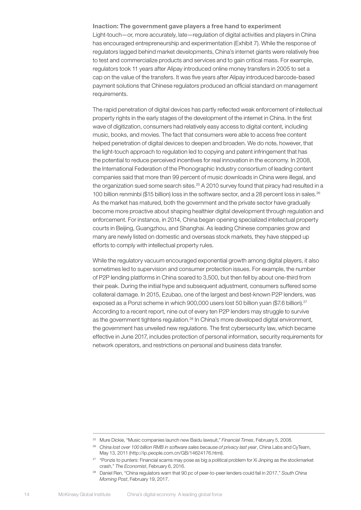Inaction: The government gave players a free hand to experiment Light-touch—or, more accurately, late—regulation of digital activities and players in China has encouraged entrepreneurship and experimentation (Exhibit 7). While the response of regulators lagged behind market developments, China's internet giants were relatively free to test and commercialize products and services and to gain critical mass. For example, regulators took 11 years after Alipay introduced online money transfers in 2005 to set a cap on the value of the transfers. It was five years after Alipay introduced barcode-based payment solutions that Chinese regulators produced an official standard on management requirements.

The rapid penetration of digital devices has partly reflected weak enforcement of intellectual property rights in the early stages of the development of the internet in China. In the first wave of digitization, consumers had relatively easy access to digital content, including music, books, and movies. The fact that consumers were able to access free content helped penetration of digital devices to deepen and broaden. We do note, however, that the light-touch approach to regulation led to copying and patent infringement that has the potential to reduce perceived incentives for real innovation in the economy. In 2008, the International Federation of the Phonographic Industry consortium of leading content companies said that more than 99 percent of music downloads in China were illegal, and the organization sued some search sites.<sup>25</sup> A 2010 survey found that piracy had resulted in a 100 billion renminbi (\$15 billion) loss in the software sector, and a 28 percent loss in sales.26 As the market has matured, both the government and the private sector have gradually become more proactive about shaping healthier digital development through regulation and enforcement. For instance, in 2014, China began opening specialized intellectual property courts in Beijing, Guangzhou, and Shanghai. As leading Chinese companies grow and many are newly listed on domestic and overseas stock markets, they have stepped up efforts to comply with intellectual property rules.

While the regulatory vacuum encouraged exponential growth among digital players, it also sometimes led to supervision and consumer protection issues. For example, the number of P2P lending platforms in China soared to 3,500, but then fell by about one-third from their peak. During the initial hype and subsequent adjustment, consumers suffered some collateral damage. In 2015, Ezubao, one of the largest and best-known P2P lenders, was exposed as a Ponzi scheme in which 900,000 users lost 50 billion yuan (\$7.6 billion).<sup>27</sup> According to a recent report, nine out of every ten P2P lenders may struggle to survive as the government tightens regulation.<sup>28</sup> In China's more developed digital environment, the government has unveiled new regulations. The first cybersecurity law, which became effective in June 2017, includes protection of personal information, security requirements for network operators, and restrictions on personal and business data transfer.

<sup>25</sup> Mure Dickie, "Music companies launch new Baidu lawsuit," *Financial Times*, February 5, 2008.

<sup>26</sup> *China lost over 100 billion RMB in software sales because of privacy last year*, China Labs and CyTeam, May 13, 2011 [\(http://ip.people.com.cn/GB/14624176.html](http://ip.people.com.cn/GB/14624176.html)).

<sup>&</sup>lt;sup>27</sup> "Ponzis to punters: Financial scams may pose as big a political problem for Xi Jinping as the stockmarket crash," *The Economist*, February 6, 2016.

<sup>28</sup> Daniel Ren, "China regulators warn that 90 pc of peer-to-peer lenders could fail in 2017," *South China Morning Post*, February 19, 2017.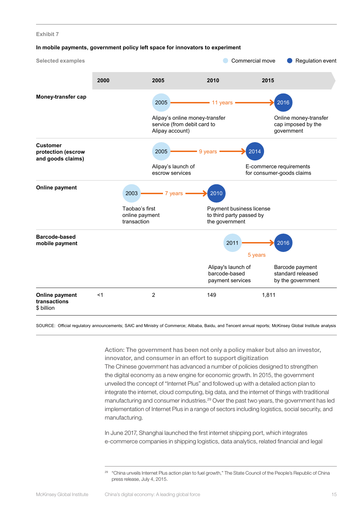#### **In mobile payments, government policy left space for innovators to experiment**



SOURCE: Official regulatory announcements; SAIC and Ministry of Commerce; Alibaba, Baidu, and Tencent annual reports; McKinsey Global Institute analysis

Action: The government has been not only a policy maker but also an investor, innovator, and consumer in an effort to support digitization The Chinese government has advanced a number of policies designed to strengthen the digital economy as a new engine for economic growth. In 2015, the government unveiled the concept of "Internet Plus" and followed up with a detailed action plan to integrate the internet, cloud computing, big data, and the internet of things with traditional manufacturing and consumer industries.<sup>29</sup> Over the past two years, the government has led implementation of Internet Plus in a range of sectors including logistics, social security, and manufacturing.

In June 2017, Shanghai launched the first internet shipping port, which integrates e-commerce companies in shipping logistics, data analytics, related financial and legal

<sup>&</sup>lt;sup>29</sup> "China unveils Internet Plus action plan to fuel growth," The State Council of the People's Republic of China press release, July 4, 2015.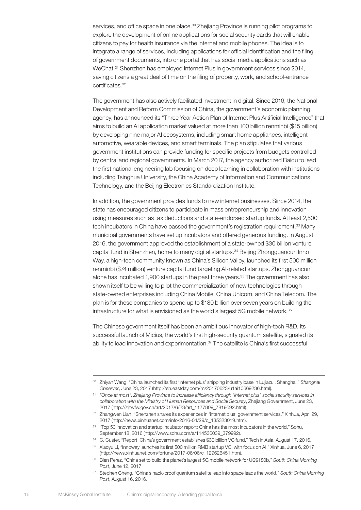services, and office space in one place.<sup>30</sup> Zhejiang Province is running pilot programs to explore the development of online applications for social security cards that will enable citizens to pay for health insurance via the internet and mobile phones. The idea is to integrate a range of services, including applications for official identification and the filing of government documents, into one portal that has social media applications such as WeChat.<sup>31</sup> Shenzhen has employed Internet Plus in government services since 2014, saving citizens a great deal of time on the filing of property, work, and school-entrance certificates.<sup>32</sup>

The government has also actively facilitated investment in digital. Since 2016, the National Development and Reform Commission of China, the government's economic planning agency, has announced its "Three Year Action Plan of Internet Plus Artificial Intelligence" that aims to build an AI application market valued at more than 100 billion renminbi (\$15 billion) by developing nine major AI ecosystems, including smart home appliances, intelligent automotive, wearable devices, and smart terminals. The plan stipulates that various government institutions can provide funding for specific projects from budgets controlled by central and regional governments. In March 2017, the agency authorized Baidu to lead the first national engineering lab focusing on deep learning in collaboration with institutions including Tsinghua University, the China Academy of Information and Communications Technology, and the Beijing Electronics Standardization Institute.

In addition, the government provides funds to new internet businesses. Since 2014, the state has encouraged citizens to participate in mass entrepreneurship and innovation using measures such as tax deductions and state-endorsed startup funds. At least 2,500 tech incubators in China have passed the government's registration requirement.<sup>33</sup> Many municipal governments have set up incubators and offered generous funding. In August 2016, the government approved the establishment of a state-owned \$30 billion venture capital fund in Shenzhen, home to many digital startups.34 Beijing Zhongguancun Inno Way, a high-tech community known as China's Silicon Valley, launched its first 500 million renminbi (\$74 million) venture capital fund targeting AI-related startups. Zhongguancun alone has incubated 1,900 startups in the past three years.35 The government has also shown itself to be willing to pilot the commercialization of new technologies through state-owned enterprises including China Mobile, China Unicom, and China Telecom. The plan is for these companies to spend up to \$180 billion over seven years on building the infrastructure for what is envisioned as the world's largest 5G mobile network.<sup>36</sup>

The Chinese government itself has been an ambitious innovator of high-tech R&D. Its successful launch of Micius, the world's first high-security quantum satellite, signaled its ability to lead innovation and experimentation.37 The satellite is China's first successful

<sup>30</sup> Zhiyan Wang, "China launched its first 'internet plus' shipping industry base in Lujiazui, Shanghai," *Shanghai Observer*, June 23, 2017 ([http://sh.eastday.com/m/20170623/u1ai10669236.html](https://urldefense.proofpoint.com/v2/url?u=http-3A__sh.eastday.com_m_20170623_u1ai10669236.html&d=DwMFaQ&c=yIH1_-b1hO27QV_BdDph9suDL0Jq0WcgndLmIuQXoms&r=6QmPQpQ0kEppDaxDpLPAZnySlb6Lk1Hpb1fwWo_W3YM&m=lzIJ6cBfdIKY8HHBJZNVGUCd1M9nNbSbhXSTIlbwjIU&s=BxuYiMbrf0oTM_VHckXzlFnk-uewEVGbU9sDhSaft3M&e=)).

<sup>31</sup> *"Once at most": Zhejiang Province to increase efficiency through "internet plus" social security services in collaboration with the Ministry of Human Resources and Social Security*, Zhejiang Government, June 23, 2017 ([http://zjzwfw.gov.cn/art/2017/6/23/art\\_1177809\\_7819592.html](https://urldefense.proofpoint.com/v2/url?u=http-3A__zjzwfw.gov.cn_art_2017_6_23_art-5F1177809-5F7819592.html&d=DwMFaQ&c=yIH1_-b1hO27QV_BdDph9suDL0Jq0WcgndLmIuQXoms&r=6QmPQpQ0kEppDaxDpLPAZnySlb6Lk1Hpb1fwWo_W3YM&m=lzIJ6cBfdIKY8HHBJZNVGUCd1M9nNbSbhXSTIlbwjIU&s=gLpibX-K21G6Eye1AOyB_X2xYVpQzaDVK83oG9HrRUg&e=)).

<sup>32</sup> Zhangwen Lian, "Shenzhen shares its experiences in 'internet plus' government services," Xinhua, April 29, 2017 ([http://news.xinhuanet.com/info/2016-04/29/c\\_135323019.htm](https://urldefense.proofpoint.com/v2/url?u=http-3A__news.xinhuanet.com_info_2016-2D04_29_c-5F135323019.htm&d=DwMFaQ&c=yIH1_-b1hO27QV_BdDph9suDL0Jq0WcgndLmIuQXoms&r=6QmPQpQ0kEppDaxDpLPAZnySlb6Lk1Hpb1fwWo_W3YM&m=lzIJ6cBfdIKY8HHBJZNVGUCd1M9nNbSbhXSTIlbwjIU&s=MG1SPW37TDuKnxZZQLZRI20z11H9QLOMIByp8xzIaVY&e=)).

<sup>&</sup>lt;sup>33</sup> "Top 50 innovation and startup incubator report: China has the most incubators in the world," Sohu, September 18, 2016 ([http://www.sohu.com/a/114536039\\_379992\).](http://www.sohu.com/a/114536039_379992).)

<sup>&</sup>lt;sup>34</sup> C. Custer, "Report: China's government establishes \$30 billion VC fund," Tech in Asia, August 17, 2016.

<sup>35</sup> Xiaoyu Li, "Innoway launches its first 500 million RMB startup VC, with focus on AI," Xinhua, June 6, 2017 [\(http://news.xinhuanet.com/fortune/2017-06/06/c\\_129626451.htm\)](http://news.xinhuanet.com/fortune/2017-06/06/c_129626451.htm).

<sup>36</sup> Bien Perez, "China set to build the planet's largest 5G mobile network for US\$180b," *South China Morning Post*, June 12, 2017.

<sup>37</sup> Stephen Cheng, "China's hack-proof quantum satellite leap into space leads the world," *South China Morning Post*, August 16, 2016.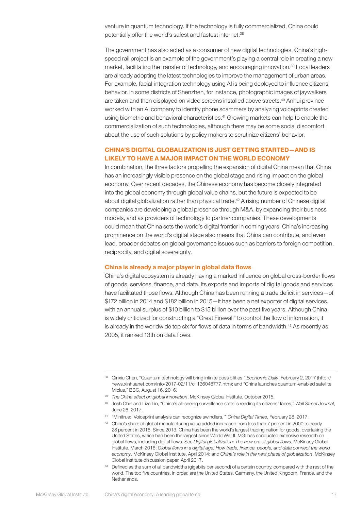venture in quantum technology. If the technology is fully commercialized, China could potentially offer the world's safest and fastest internet.<sup>38</sup>

The government has also acted as a consumer of new digital technologies. China's highspeed rail project is an example of the government's playing a central role in creating a new market, facilitating the transfer of technology, and encouraging innovation.<sup>39</sup> Local leaders are already adopting the latest technologies to improve the management of urban areas. For example, facial-integration technology using AI is being deployed to influence citizens' behavior. In some districts of Shenzhen, for instance, photographic images of jaywalkers are taken and then displayed on video screens installed above streets.40 Anhui province worked with an AI company to identify phone scammers by analyzing voiceprints created using biometric and behavioral characteristics.41 Growing markets can help to enable the commercialization of such technologies, although there may be some social discomfort about the use of such solutions by policy makers to scrutinize citizens' behavior.

#### CHINA'S DIGITAL GLOBALIZATION IS JUST GETTING STARTED—AND IS LIKELY TO HAVE A MAJOR IMPACT ON THE WORLD ECONOMY

In combination, the three factors propelling the expansion of digital China mean that China has an increasingly visible presence on the global stage and rising impact on the global economy. Over recent decades, the Chinese economy has become closely integrated into the global economy through global value chains, but the future is expected to be about digital globalization rather than physical trade.42 A rising number of Chinese digital companies are developing a global presence through M&A, by expanding their business models, and as providers of technology to partner companies. These developments could mean that China sets the world's digital frontier in coming years. China's increasing prominence on the world's digital stage also means that China can contribute, and even lead, broader debates on global governance issues such as barriers to foreign competition, reciprocity, and digital sovereignty.

#### China is already a major player in global data flows

China's digital ecosystem is already having a marked influence on global cross-border flows of goods, services, finance, and data. Its exports and imports of digital goods and services have facilitated those flows. Although China has been running a trade deficit in services—of \$172 billion in 2014 and \$182 billion in 2015—it has been a net exporter of digital services, with an annual surplus of \$10 billion to \$15 billion over the past five years. Although China is widely criticized for constructing a "Great Firewall" to control the flow of information, it is already in the worldwide top six for flows of data in terms of bandwidth. $43$  As recently as 2005, it ranked 13th on data flows.

<sup>38</sup> Qinxiu Chen, "Quantum technology will bring infinite possibilities," *Economic Daily*, February 2, 2017 [\(http://](http://news.xinhuanet.com/info/2017-02/11/c_136048777.htm) [news.xinhuanet.com/info/2017-02/11/c\\_136048777.htm\)](http://news.xinhuanet.com/info/2017-02/11/c_136048777.htm); and "China launches quantum-enabled satellite Micius," BBC, August 16, 2016.

<sup>39</sup> *The China effect on global innovation*, McKinsey Global Institute, October 2015.

<sup>40</sup> Josh Chin and Liza Lin, "China's all-seeing surveillance state is reading its citizens' faces," *Wall Street Journal*, June 26, 2017.

<sup>41</sup> "Minitrue: 'Voiceprint analysis can recognize swindlers,'" *China Digital Times*, February 28, 2017.

<sup>42</sup> China's share of global manufacturing value added increased from less than 7 percent in 2000 to nearly 28 percent in 2016. Since 2013, China has been the world's largest trading nation for goods, overtaking the United States, which had been the largest since World War II. MGI has conducted extensive research on global flows, including digital flows. See *Digital globalization: The new era of global flows*, McKinsey Global Institute, March 2016; *Global flows in a digital age: How trade, finance, people, and data connect the world economy*, McKinsey Global Institute, April 2014; and *China's role in the next phase of globalization*, McKinsey Global Institute discussion paper, April 2017.

<sup>&</sup>lt;sup>43</sup> Defined as the sum of all bandwidths (gigabits per second) of a certain country, compared with the rest of the world. The top five countries, in order, are the United States, Germany, the United Kingdom, France, and the Netherlands.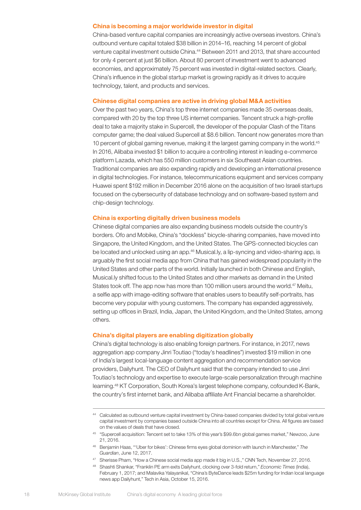#### China is becoming a major worldwide investor in digital

China-based venture capital companies are increasingly active overseas investors. China's outbound venture capital totaled \$38 billion in 2014–16, reaching 14 percent of global venture capital investment outside China.44 Between 2011 and 2013, that share accounted for only 4 percent at just \$6 billion. About 80 percent of investment went to advanced economies, and approximately 75 percent was invested in digital-related sectors. Clearly, China's influence in the global startup market is growing rapidly as it drives to acquire technology, talent, and products and services.

#### Chinese digital companies are active in driving global M&A activities

Over the past two years, China's top three internet companies made 35 overseas deals, compared with 20 by the top three US internet companies. Tencent struck a high-profile deal to take a majority stake in Supercell, the developer of the popular Clash of the Titans computer game; the deal valued Supercell at \$8.6 billion. Tencent now generates more than 10 percent of global gaming revenue, making it the largest gaming company in the world.45 In 2016, Alibaba invested \$1 billion to acquire a controlling interest in leading e-commerce platform Lazada, which has 550 million customers in six Southeast Asian countries. Traditional companies are also expanding rapidly and developing an international presence in digital technologies. For instance, telecommunications equipment and services company Huawei spent \$192 million in December 2016 alone on the acquisition of two Israeli startups focused on the cybersecurity of database technology and on software-based system and chip-design technology.

#### China is exporting digitally driven business models

Chinese digital companies are also expanding business models outside the country's borders. Ofo and Mobike, China's "dockless" bicycle-sharing companies, have moved into Singapore, the United Kingdom, and the United States. The GPS-connected bicycles can be located and unlocked using an app.<sup>46</sup> Musical.ly, a lip-syncing and video-sharing app, is arguably the first social media app from China that has gained widespread popularity in the United States and other parts of the world. Initially launched in both Chinese and English, Musical.ly shifted focus to the United States and other markets as demand in the United States took off. The app now has more than 100 million users around the world.<sup>47</sup> Meitu, a selfie app with image-editing software that enables users to beautify self-portraits, has become very popular with young customers. The company has expanded aggressively, setting up offices in Brazil, India, Japan, the United Kingdom, and the United States, among others.

#### China's digital players are enabling digitization globally

China's digital technology is also enabling foreign partners. For instance, in 2017, news aggregation app company Jinri Toutiao ("today's headlines") invested \$19 million in one of India's largest local-language content aggregation and recommendation service providers, Dailyhunt. The CEO of Dailyhunt said that the company intended to use Jinri Toutiao's technology and expertise to execute large-scale personalization through machine learning.48 KT Corporation, South Korea's largest telephone company, cofounded K-Bank, the country's first internet bank, and Alibaba affiliate Ant Financial became a shareholder.

<sup>44</sup> Calculated as outbound venture capital investment by China-based companies divided by total global venture capital investment by companies based outside China into all countries except for China. All figures are based on the values of deals that have closed.

<sup>45</sup> "Supercell acquisition: Tencent set to take 13% of this year's \$99.6bn global games market," Newzoo, June 21, 2016.

<sup>46</sup> Benjamin Haas, "'Uber for bikes': Chinese firms eyes global dominion with launch in Manchester," *The Guardian*, June 12, 2017.

<sup>47</sup> Sherisse Pham, "How a Chinese social media app made it big in U.S.," CNN Tech, November 27, 2016.

<sup>48</sup> Shashti Shankar, "Franklin PE arm exits Dailyhunt, clocking over 3-fold return," *Economic Times* (India), February 1, 2017; and Malavika Yalayanikal, "China's ByteDance leads \$25m funding for Indian local language news app Dailyhunt," Tech in Asia, October 15, 2016.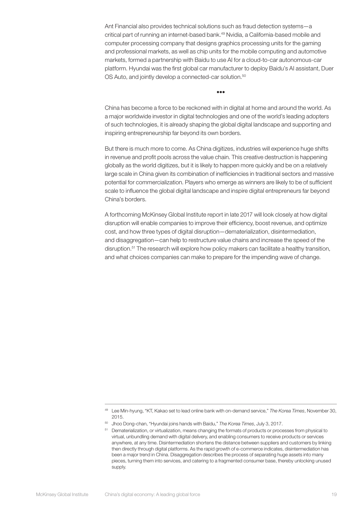Ant Financial also provides technical solutions such as fraud detection systems—a critical part of running an internet-based bank.<sup>49</sup> Nvidia, a California-based mobile and computer processing company that designs graphics processing units for the gaming and professional markets, as well as chip units for the mobile computing and automotive markets, formed a partnership with Baidu to use AI for a cloud-to-car autonomous-car platform. Hyundai was the first global car manufacturer to deploy Baidu's AI assistant, Duer OS Auto, and jointly develop a connected-car solution.<sup>50</sup>

China has become a force to be reckoned with in digital at home and around the world. As a major worldwide investor in digital technologies and one of the world's leading adopters of such technologies, it is already shaping the global digital landscape and supporting and inspiring entrepreneurship far beyond its own borders.

•••

But there is much more to come. As China digitizes, industries will experience huge shifts in revenue and profit pools across the value chain. This creative destruction is happening globally as the world digitizes, but it is likely to happen more quickly and be on a relatively large scale in China given its combination of inefficiencies in traditional sectors and massive potential for commercialization. Players who emerge as winners are likely to be of sufficient scale to influence the global digital landscape and inspire digital entrepreneurs far beyond China's borders.

A forthcoming McKinsey Global Institute report in late 2017 will look closely at how digital disruption will enable companies to improve their efficiency, boost revenue, and optimize cost, and how three types of digital disruption—dematerialization, disintermediation, and disaggregation—can help to restructure value chains and increase the speed of the disruption.<sup>51</sup> The research will explore how policy makers can facilitate a healthy transition, and what choices companies can make to prepare for the impending wave of change.

<sup>49</sup> Lee Min-hyung, "KT, Kakao set to lead online bank with on-demand service," *The Korea Times*, November 30, 2015.

<sup>50</sup> Jhoo Dong-chan, "Hyundai joins hands with Baidu," *The Korea Times*, July 3, 2017.

<sup>51</sup> Dematerialization, or virtualization, means changing the formats of products or processes from physical to virtual, unbundling demand with digital delivery, and enabling consumers to receive products or services anywhere, at any time. Disintermediation shortens the distance between suppliers and customers by linking then directly through digital platforms. As the rapid growth of e-commerce indicates, disintermediation has been a major trend in China. Disaggregation describes the process of separating huge assets into many pieces, turning them into services, and catering to a fragmented consumer base, thereby unlocking unused supply.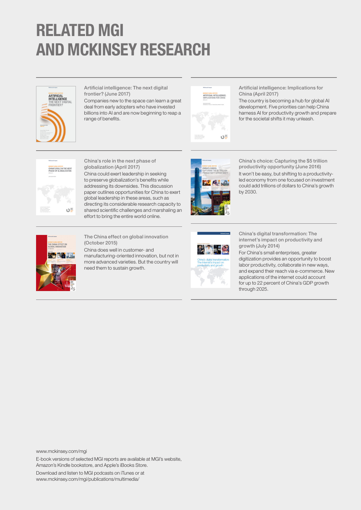## RELATED MGI AND MCKINSEY RESEARCH



Artificial intelligence: The next digital frontier? (June 2017)

Companies new to the space can learn a great deal from early adopters who have invested billions into AI and are now beginning to reap a range of benefits.



Artificial intelligence: Implications for China (April 2017)

The country is becoming a hub for global AI development. Five priorities can help China harness AI for productivity growth and prepare for the societal shifts it may unleash.



China's role in the next phase of globalization (April 2017) China could exert leadership in seeking to preserve globalization's benefits while addressing its downsides. This discussion paper outlines opportunities for China to exert global leadership in these areas, such as directing its considerable research capacity to shared scientific challenges and marshaling an effort to bring the entire world online.



China's choice: Capturing the \$5 trillion productivity opportunity (June 2016) It won't be easy, but shifting to a productivityled economy from one focused on investment could add trillions of dollars to China's growth by 2030.



The China effect on global innovation (October 2015)

China does well in customer- and manufacturing-oriented innovation, but not in more advanced varieties. But the country will need them to sustain growth.



China's digital transformation: The internet's impact on productivity and growth (July 2014)

For China's small enterprises, greater digitization provides an opportunity to boost labor productivity, collaborate in new ways, and expand their reach via e-commerce. New applications of the internet could account for up to 22 percent of China's GDP growth through 2025.



E-book versions of selected MGI reports are available at MGI's website, Amazon's Kindle bookstore, and Apple's iBooks Store.

Download and listen to MGI podcasts on iTunes or at www.mckinsey.com/mgi/publications/multimedia/